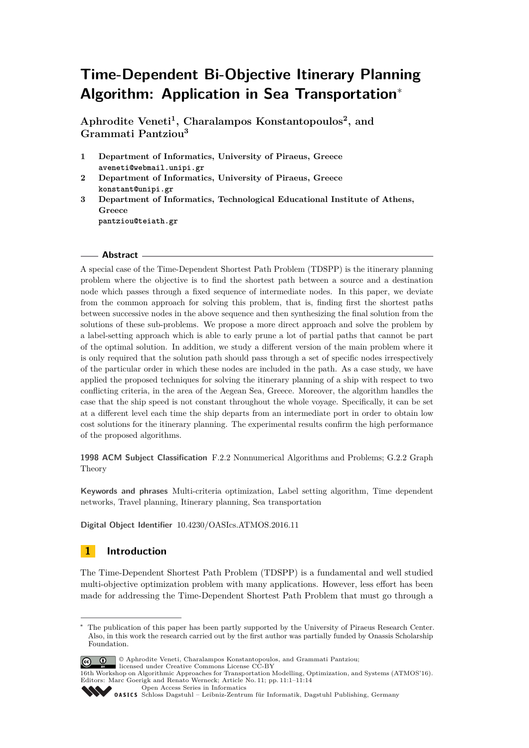# **Time-Dependent Bi-Objective Itinerary Planning Algorithm: Application in Sea Transportation**<sup>∗</sup>

**Aphrodite Veneti<sup>1</sup> , Charalampos Konstantopoulos<sup>2</sup> , and Grammati Pantziou<sup>3</sup>**

- **1 Department of Informatics, University of Piraeus, Greece aveneti@webmail.unipi.gr**
- **2 Department of Informatics, University of Piraeus, Greece konstant@unipi.gr**
- **3 Department of Informatics, Technological Educational Institute of Athens, Greece pantziou@teiath.gr**

## **Abstract**

A special case of the Time-Dependent Shortest Path Problem (TDSPP) is the itinerary planning problem where the objective is to find the shortest path between a source and a destination node which passes through a fixed sequence of intermediate nodes. In this paper, we deviate from the common approach for solving this problem, that is, finding first the shortest paths between successive nodes in the above sequence and then synthesizing the final solution from the solutions of these sub-problems. We propose a more direct approach and solve the problem by a label-setting approach which is able to early prune a lot of partial paths that cannot be part of the optimal solution. In addition, we study a different version of the main problem where it is only required that the solution path should pass through a set of specific nodes irrespectively of the particular order in which these nodes are included in the path. As a case study, we have applied the proposed techniques for solving the itinerary planning of a ship with respect to two conflicting criteria, in the area of the Aegean Sea, Greece. Moreover, the algorithm handles the case that the ship speed is not constant throughout the whole voyage. Specifically, it can be set at a different level each time the ship departs from an intermediate port in order to obtain low cost solutions for the itinerary planning. The experimental results confirm the high performance of the proposed algorithms.

**1998 ACM Subject Classification** F.2.2 Nonnumerical Algorithms and Problems; G.2.2 Graph Theory

**Keywords and phrases** Multi-criteria optimization, Label setting algorithm, Time dependent networks, Travel planning, Itinerary planning, Sea transportation

**Digital Object Identifier** [10.4230/OASIcs.ATMOS.2016.11](http://dx.doi.org/10.4230/OASIcs.ATMOS.2016.11)

# **1 Introduction**

The Time-Dependent Shortest Path Problem (TDSPP) is a fundamental and well studied multi-objective optimization problem with many applications. However, less effort has been made for addressing the Time-Dependent Shortest Path Problem that must go through a

The publication of this paper has been partly supported by the University of Piraeus Research Center. Also, in this work the research carried out by the first author was partially funded by Onassis Scholarship Foundation.



<sup>©</sup> Aphrodite Veneti, Charalampos Konstantopoulos, and Grammati Pantziou; licensed under Creative Commons License CC-BY

<sup>16</sup>th Workshop on Algorithmic Approaches for Transportation Modelling, Optimization, and Systems (ATMOS'16). Editors: Marc Goerigk and Renato Werneck; Article No. 11; pp. 11:1–11[:14](#page-13-0)

[Open Access Series in Informatics](http://www.dagstuhl.de/oasics/)

[Schloss Dagstuhl – Leibniz-Zentrum für Informatik, Dagstuhl Publishing, Germany](http://www.dagstuhl.de)<br>
1999 – Christian Bagstuhl – Leibniz-Zentrum für Informatik, Dagstuhl Publishing, Germany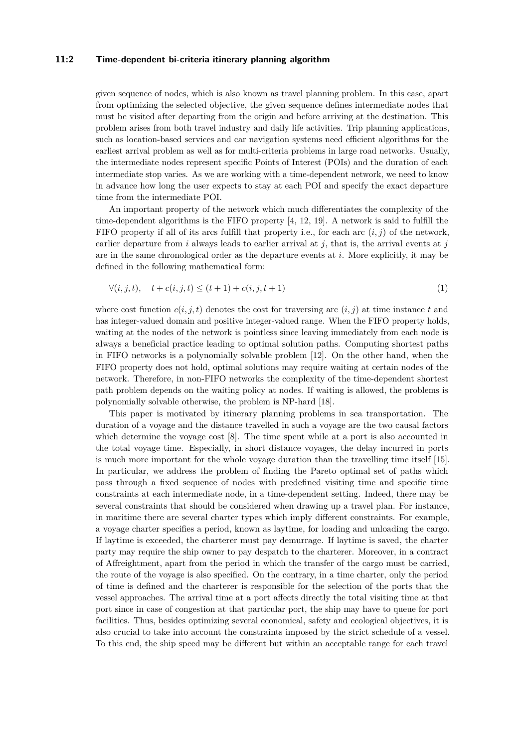## **11:2 Time-dependent bi-criteria itinerary planning algorithm**

given sequence of nodes, which is also known as travel planning problem. In this case, apart from optimizing the selected objective, the given sequence defines intermediate nodes that must be visited after departing from the origin and before arriving at the destination. This problem arises from both travel industry and daily life activities. Trip planning applications, such as location-based services and car navigation systems need efficient algorithms for the earliest arrival problem as well as for multi-criteria problems in large road networks. Usually, the intermediate nodes represent specific Points of Interest (POIs) and the duration of each intermediate stop varies. As we are working with a time-dependent network, we need to know in advance how long the user expects to stay at each POI and specify the exact departure time from the intermediate POI.

An important property of the network which much differentiates the complexity of the time-dependent algorithms is the FIFO property [\[4,](#page-12-0) [12,](#page-13-1) [19\]](#page-13-2). A network is said to fulfill the FIFO property if all of its arcs fulfill that property i.e., for each arc  $(i, j)$  of the network, earlier departure from  $i$  always leads to earlier arrival at  $j$ , that is, the arrival events at  $j$ are in the same chronological order as the departure events at *i*. More explicitly, it may be defined in the following mathematical form:

$$
\forall (i, j, t), \quad t + c(i, j, t) \le (t + 1) + c(i, j, t + 1)
$$
\n(1)

where cost function  $c(i, j, t)$  denotes the cost for traversing arc  $(i, j)$  at time instance t and has integer-valued domain and positive integer-valued range. When the FIFO property holds, waiting at the nodes of the network is pointless since leaving immediately from each node is always a beneficial practice leading to optimal solution paths. Computing shortest paths in FIFO networks is a polynomially solvable problem [\[12\]](#page-13-1). On the other hand, when the FIFO property does not hold, optimal solutions may require waiting at certain nodes of the network. Therefore, in non-FIFO networks the complexity of the time-dependent shortest path problem depends on the waiting policy at nodes. If waiting is allowed, the problems is polynomially solvable otherwise, the problem is NP-hard [\[18\]](#page-13-3).

This paper is motivated by itinerary planning problems in sea transportation. The duration of a voyage and the distance travelled in such a voyage are the two causal factors which determine the voyage cost [\[8\]](#page-13-4). The time spent while at a port is also accounted in the total voyage time. Especially, in short distance voyages, the delay incurred in ports is much more important for the whole voyage duration than the travelling time itself [\[15\]](#page-13-5). In particular, we address the problem of finding the Pareto optimal set of paths which pass through a fixed sequence of nodes with predefined visiting time and specific time constraints at each intermediate node, in a time-dependent setting. Indeed, there may be several constraints that should be considered when drawing up a travel plan. For instance, in maritime there are several charter types which imply different constraints. For example, a voyage charter specifies a period, known as laytime, for loading and unloading the cargo. If laytime is exceeded, the charterer must pay demurrage. If laytime is saved, the charter party may require the ship owner to pay despatch to the charterer. Moreover, in a contract of Affreightment, apart from the period in which the transfer of the cargo must be carried, the route of the voyage is also specified. On the contrary, in a time charter, only the period of time is defined and the charterer is responsible for the selection of the ports that the vessel approaches. The arrival time at a port affects directly the total visiting time at that port since in case of congestion at that particular port, the ship may have to queue for port facilities. Thus, besides optimizing several economical, safety and ecological objectives, it is also crucial to take into account the constraints imposed by the strict schedule of a vessel. To this end, the ship speed may be different but within an acceptable range for each travel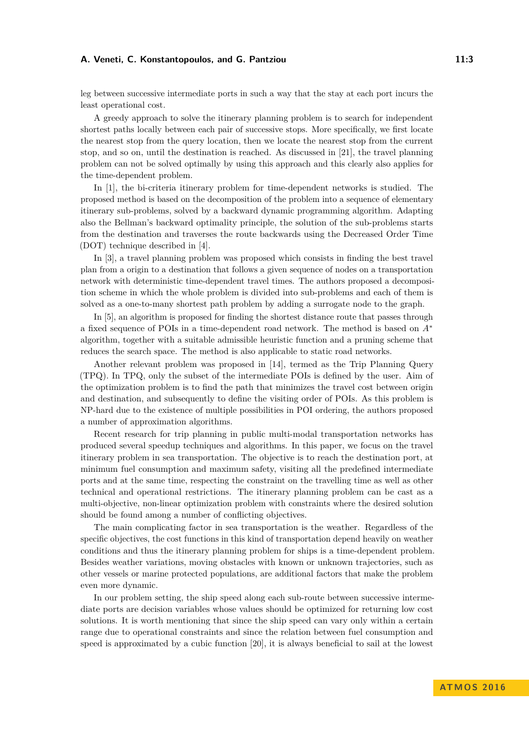## **A. Veneti, C. Konstantopoulos, and G. Pantziou 11:3** 11:3

leg between successive intermediate ports in such a way that the stay at each port incurs the least operational cost.

A greedy approach to solve the itinerary planning problem is to search for independent shortest paths locally between each pair of successive stops. More specifically, we first locate the nearest stop from the query location, then we locate the nearest stop from the current stop, and so on, until the destination is reached. As discussed in [\[21\]](#page-13-6), the travel planning problem can not be solved optimally by using this approach and this clearly also applies for the time-dependent problem.

In [\[1\]](#page-12-1), the bi-criteria itinerary problem for time-dependent networks is studied. The proposed method is based on the decomposition of the problem into a sequence of elementary itinerary sub-problems, solved by a backward dynamic programming algorithm. Adapting also the Bellman's backward optimality principle, the solution of the sub-problems starts from the destination and traverses the route backwards using the Decreased Order Time (DOT) technique described in [\[4\]](#page-12-0).

In [\[3\]](#page-12-2), a travel planning problem was proposed which consists in finding the best travel plan from a origin to a destination that follows a given sequence of nodes on a transportation network with deterministic time-dependent travel times. The authors proposed a decomposition scheme in which the whole problem is divided into sub-problems and each of them is solved as a one-to-many shortest path problem by adding a surrogate node to the graph.

In [\[5\]](#page-12-3), an algorithm is proposed for finding the shortest distance route that passes through a fixed sequence of POIs in a time-dependent road network. The method is based on *A*<sup>∗</sup> algorithm, together with a suitable admissible heuristic function and a pruning scheme that reduces the search space. The method is also applicable to static road networks.

Another relevant problem was proposed in [\[14\]](#page-13-7), termed as the Trip Planning Query (TPQ). In TPQ, only the subset of the intermediate POIs is defined by the user. Aim of the optimization problem is to find the path that minimizes the travel cost between origin and destination, and subsequently to define the visiting order of POIs. As this problem is NP-hard due to the existence of multiple possibilities in POI ordering, the authors proposed a number of approximation algorithms.

Recent research for trip planning in public multi-modal transportation networks has produced several speedup techniques and algorithms. In this paper, we focus on the travel itinerary problem in sea transportation. The objective is to reach the destination port, at minimum fuel consumption and maximum safety, visiting all the predefined intermediate ports and at the same time, respecting the constraint on the travelling time as well as other technical and operational restrictions. The itinerary planning problem can be cast as a multi-objective, non-linear optimization problem with constraints where the desired solution should be found among a number of conflicting objectives.

The main complicating factor in sea transportation is the weather. Regardless of the specific objectives, the cost functions in this kind of transportation depend heavily on weather conditions and thus the itinerary planning problem for ships is a time-dependent problem. Besides weather variations, moving obstacles with known or unknown trajectories, such as other vessels or marine protected populations, are additional factors that make the problem even more dynamic.

In our problem setting, the ship speed along each sub-route between successive intermediate ports are decision variables whose values should be optimized for returning low cost solutions. It is worth mentioning that since the ship speed can vary only within a certain range due to operational constraints and since the relation between fuel consumption and speed is approximated by a cubic function [\[20\]](#page-13-8), it is always beneficial to sail at the lowest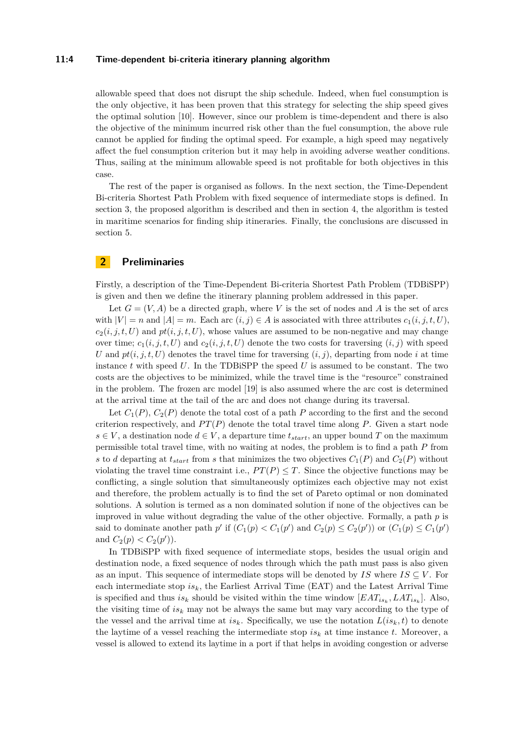## **11:4 Time-dependent bi-criteria itinerary planning algorithm**

allowable speed that does not disrupt the ship schedule. Indeed, when fuel consumption is the only objective, it has been proven that this strategy for selecting the ship speed gives the optimal solution [\[10\]](#page-13-9). However, since our problem is time-dependent and there is also the objective of the minimum incurred risk other than the fuel consumption, the above rule cannot be applied for finding the optimal speed. For example, a high speed may negatively affect the fuel consumption criterion but it may help in avoiding adverse weather conditions. Thus, sailing at the minimum allowable speed is not profitable for both objectives in this case.

The rest of the paper is organised as follows. In the next section, the Time-Dependent Bi-criteria Shortest Path Problem with fixed sequence of intermediate stops is defined. In section 3, the proposed algorithm is described and then in section 4, the algorithm is tested in maritime scenarios for finding ship itineraries. Finally, the conclusions are discussed in section 5.

# **2 Preliminaries**

Firstly, a description of the Time-Dependent Bi-criteria Shortest Path Problem (TDBiSPP) is given and then we define the itinerary planning problem addressed in this paper.

Let  $G = (V, A)$  be a directed graph, where V is the set of nodes and A is the set of arcs with  $|V| = n$  and  $|A| = m$ . Each arc  $(i, j) \in A$  is associated with three attributes  $c_1(i, j, t, U)$ ,  $c_2(i, j, t, U)$  and  $pt(i, j, t, U)$ , whose values are assumed to be non-negative and may change over time;  $c_1(i, j, t, U)$  and  $c_2(i, j, t, U)$  denote the two costs for traversing  $(i, j)$  with speed *U* and  $pt(i, j, t, U)$  denotes the travel time for traversing  $(i, j)$ , departing from node *i* at time instance  $t$  with speed  $U$ . In the TDBiSPP the speed  $U$  is assumed to be constant. The two costs are the objectives to be minimized, while the travel time is the "resource" constrained in the problem. The frozen arc model [\[19\]](#page-13-2) is also assumed where the arc cost is determined at the arrival time at the tail of the arc and does not change during its traversal.

Let  $C_1(P)$ ,  $C_2(P)$  denote the total cost of a path P according to the first and the second criterion respectively, and  $PT(P)$  denote the total travel time along  $P$ . Given a start node  $s \in V$ , a destination node  $d \in V$ , a departure time  $t_{start}$ , an upper bound *T* on the maximum permissible total travel time, with no waiting at nodes, the problem is to find a path *P* from *s* to *d* departing at  $t_{start}$  from *s* that minimizes the two objectives  $C_1(P)$  and  $C_2(P)$  without violating the travel time constraint i.e.,  $PT(P) \leq T$ . Since the objective functions may be conflicting, a single solution that simultaneously optimizes each objective may not exist and therefore, the problem actually is to find the set of Pareto optimal or non dominated solutions. A solution is termed as a non dominated solution if none of the objectives can be improved in value without degrading the value of the other objective. Formally, a path *p* is said to dominate another path *p*' if  $(C_1(p) < C_1(p')$  and  $C_2(p) \le C_2(p')$  or  $(C_1(p) \le C_1(p')$ and  $C_2(p) < C_2(p')$ .

In TDBiSPP with fixed sequence of intermediate stops, besides the usual origin and destination node, a fixed sequence of nodes through which the path must pass is also given as an input. This sequence of intermediate stops will be denoted by *IS* where  $IS \subseteq V$ . For each intermediate stop *isk*, the Earliest Arrival Time (EAT) and the Latest Arrival Time is specified and thus  $is_k$  should be visited within the time window  $[EAT_{is_k}, LAT_{is_k}]$ . Also, the visiting time of  $is_k$  may not be always the same but may vary according to the type of the vessel and the arrival time at  $is_k$ . Specifically, we use the notation  $L(is_k,t)$  to denote the laytime of a vessel reaching the intermediate stop  $is_k$  at time instance  $t$ . Moreover, a vessel is allowed to extend its laytime in a port if that helps in avoiding congestion or adverse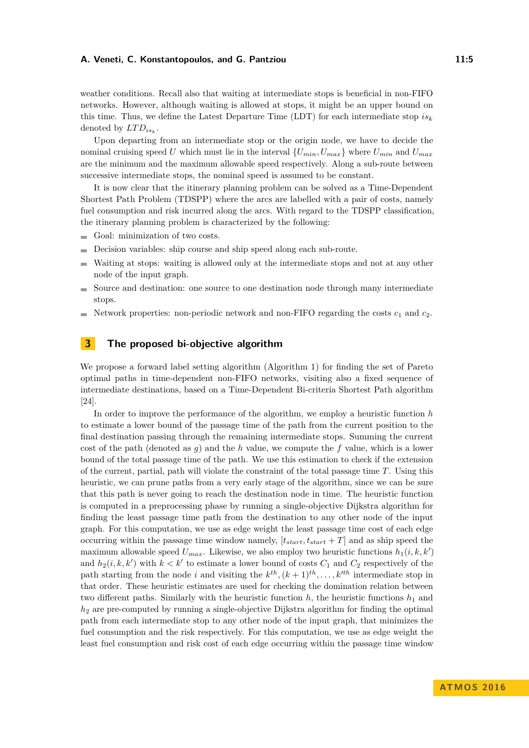## **A. Veneti, C. Konstantopoulos, and G. Pantziou 11:5** 11:5

weather conditions. Recall also that waiting at intermediate stops is beneficial in non-FIFO networks. However, although waiting is allowed at stops, it might be an upper bound on this time. Thus, we define the Latest Departure Time (LDT) for each intermediate stop *is<sup>k</sup>* denoted by  $LTD_{is_k}$ .

Upon departing from an intermediate stop or the origin node, we have to decide the nominal cruising speed *U* which must lie in the interval  ${U_{min}, U_{max}}$  where  $U_{min}$  and  $U_{max}$ are the minimum and the maximum allowable speed respectively. Along a sub-route between successive intermediate stops, the nominal speed is assumed to be constant.

It is now clear that the itinerary planning problem can be solved as a Time-Dependent Shortest Path Problem (TDSPP) where the arcs are labelled with a pair of costs, namely fuel consumption and risk incurred along the arcs. With regard to the TDSPP classification, the itinerary planning problem is characterized by the following:

- Goal: minimization of two costs.
- Decision variables: ship course and ship speed along each sub-route. ۰
- Waiting at stops: waiting is allowed only at the intermediate stops and not at any other  $\overline{a}$ node of the input graph.
- Source and destination: one source to one destination node through many intermediate stops.
- Network properties: non-periodic network and non-FIFO regarding the costs  $c_1$  and  $c_2$ .

# **3 The proposed bi-objective algorithm**

We propose a forward label setting algorithm (Algorithm [1\)](#page-8-0) for finding the set of Pareto optimal paths in time-dependent non-FIFO networks, visiting also a fixed sequence of intermediate destinations, based on a Time-Dependent Bi-criteria Shortest Path algorithm [\[24\]](#page-13-10).

In order to improve the performance of the algorithm, we employ a heuristic function *h* to estimate a lower bound of the passage time of the path from the current position to the final destination passing through the remaining intermediate stops. Summing the current cost of the path (denoted as *g*) and the *h* value, we compute the *f* value, which is a lower bound of the total passage time of the path. We use this estimation to check if the extension of the current, partial, path will violate the constraint of the total passage time *T*. Using this heuristic, we can prune paths from a very early stage of the algorithm, since we can be sure that this path is never going to reach the destination node in time. The heuristic function is computed in a preprocessing phase by running a single-objective Dijkstra algorithm for finding the least passage time path from the destination to any other node of the input graph. For this computation, we use as edge weight the least passage time cost of each edge occurring within the passage time window namely,  $[t_{start}, t_{start} + T]$  and as ship speed the maximum allowable speed  $U_{max}$ . Likewise, we also employ two heuristic functions  $h_1(i, k, k')$ and  $h_2(i, k, k')$  with  $k < k'$  to estimate a lower bound of costs  $C_1$  and  $C_2$  respectively of the path starting from the node *i* and visiting the  $k^{th}$ ,  $(k+1)^{th}$ ,  $\dots$ ,  $k^{th}$  intermediate stop in that order. These heuristic estimates are used for checking the domination relation between two different paths. Similarly with the heuristic function  $h$ , the heuristic functions  $h_1$  and *h*<sup>2</sup> are pre-computed by running a single-objective Dijkstra algorithm for finding the optimal path from each intermediate stop to any other node of the input graph, that minimizes the fuel consumption and the risk respectively. For this computation, we use as edge weight the least fuel consumption and risk cost of each edge occurring within the passage time window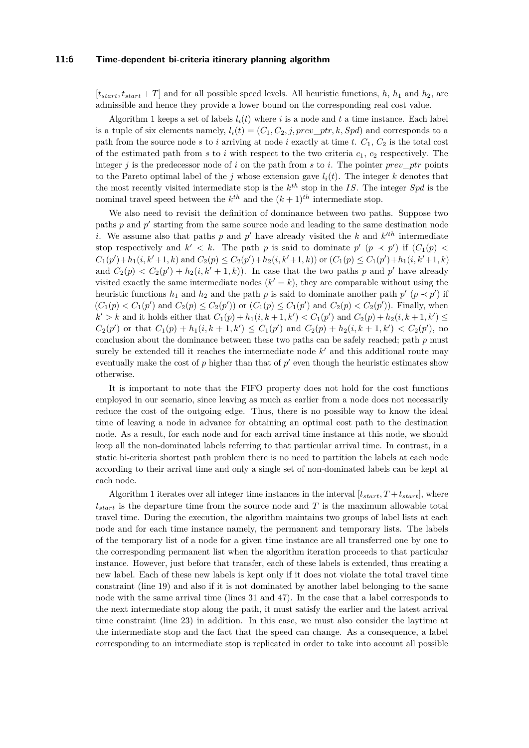#### **11:6 Time-dependent bi-criteria itinerary planning algorithm**

 $[t<sub>start</sub>, t<sub>start</sub> + T]$  and for all possible speed levels. All heuristic functions, *h*, *h*<sub>1</sub> and *h*<sub>2</sub>, are admissible and hence they provide a lower bound on the corresponding real cost value.

Algorithm [1](#page-8-0) keeps a set of labels  $l_i(t)$  where *i* is a node and *t* a time instance. Each label is a tuple of six elements namely,  $l_i(t) = (C_1, C_2, j, prev\_ptr, k, Spd)$  and corresponds to a path from the source node  $s$  to  $i$  arriving at node  $i$  exactly at time  $t$ .  $C_1$ ,  $C_2$  is the total cost of the estimated path from  $s$  to  $i$  with respect to the two criteria  $c_1, c_2$  respectively. The integer *j* is the predecessor node of *i* on the path from *s* to *i*. The pointer *prev*\_*ptr* points to the Pareto optimal label of the *j* whose extension gave  $l_i(t)$ . The integer *k* denotes that the most recently visited intermediate stop is the *k th* stop in the *IS*. The integer *Spd* is the nominal travel speed between the  $k^{th}$  and the  $(k+1)^{th}$  intermediate stop.

We also need to revisit the definition of dominance between two paths. Suppose two paths  $p$  and  $p'$  starting from the same source node and leading to the same destination node *i*. We assume also that paths *p* and *p*<sup> $\prime$ </sup> have already visited the *k* and  $k^{\prime th}$  intermediate stop respectively and  $k' < k$ . The path *p* is said to dominate  $p'$   $(p \prec p')$  if  $(C_1(p)$  $C_1(p')+h_1(i,k'+1,k)$  and  $C_2(p) \leq C_2(p')+h_2(i,k'+1,k)$  or  $(C_1(p) \leq C_1(p')+h_1(i,k'+1,k)$ and  $C_2(p) < C_2(p') + h_2(i, k' + 1, k)$ . In case that the two paths p and p' have already visited exactly the same intermediate nodes  $(k' = k)$ , they are comparable without using the heuristic functions  $h_1$  and  $h_2$  and the path *p* is said to dominate another path  $p'$  ( $p \prec p'$ ) if  $(C_1(p) < C_1(p')$  and  $C_2(p) \le C_2(p')$  or  $(C_1(p) \le C_1(p')$  and  $C_2(p) < C_2(p')$ ). Finally, when  $k' > k$  and it holds either that  $C_1(p) + h_1(i, k + 1, k') < C_1(p')$  and  $C_2(p) + h_2(i, k + 1, k') \le$  $C_2(p')$  or that  $C_1(p) + h_1(i, k+1, k') \leq C_1(p')$  and  $C_2(p) + h_2(i, k+1, k') < C_2(p')$ , no conclusion about the dominance between these two paths can be safely reached; path *p* must surely be extended till it reaches the intermediate node  $k'$  and this additional route may eventually make the cost of  $p$  higher than that of  $p'$  even though the heuristic estimates show otherwise.

It is important to note that the FIFO property does not hold for the cost functions employed in our scenario, since leaving as much as earlier from a node does not necessarily reduce the cost of the outgoing edge. Thus, there is no possible way to know the ideal time of leaving a node in advance for obtaining an optimal cost path to the destination node. As a result, for each node and for each arrival time instance at this node, we should keep all the non-dominated labels referring to that particular arrival time. In contrast, in a static bi-criteria shortest path problem there is no need to partition the labels at each node according to their arrival time and only a single set of non-dominated labels can be kept at each node.

Algorithm [1](#page-8-0) iterates over all integer time instances in the interval  $[t<sub>start</sub>, T + t<sub>start</sub>],$  where *tstart* is the departure time from the source node and *T* is the maximum allowable total travel time. During the execution, the algorithm maintains two groups of label lists at each node and for each time instance namely, the permanent and temporary lists. The labels of the temporary list of a node for a given time instance are all transferred one by one to the corresponding permanent list when the algorithm iteration proceeds to that particular instance. However, just before that transfer, each of these labels is extended, thus creating a new label. Each of these new labels is kept only if it does not violate the total travel time constraint (line 19) and also if it is not dominated by another label belonging to the same node with the same arrival time (lines 31 and 47). In the case that a label corresponds to the next intermediate stop along the path, it must satisfy the earlier and the latest arrival time constraint (line 23) in addition. In this case, we must also consider the laytime at the intermediate stop and the fact that the speed can change. As a consequence, a label corresponding to an intermediate stop is replicated in order to take into account all possible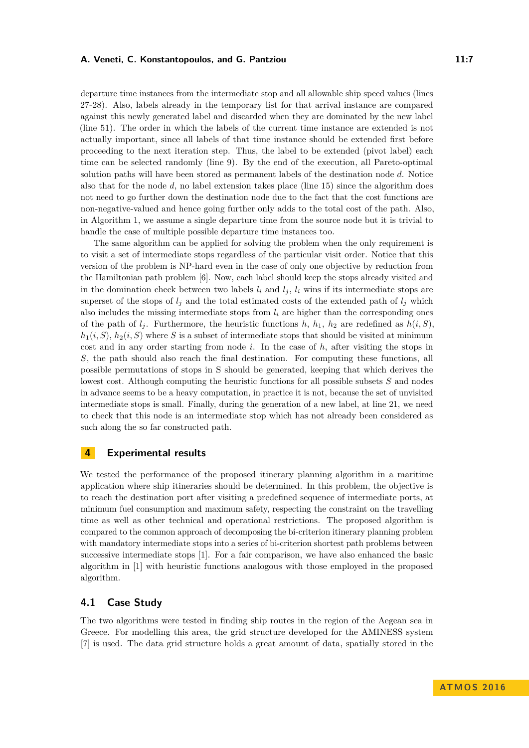## **A. Veneti, C. Konstantopoulos, and G. Pantziou 11:7** 11:7

departure time instances from the intermediate stop and all allowable ship speed values (lines 27-28). Also, labels already in the temporary list for that arrival instance are compared against this newly generated label and discarded when they are dominated by the new label (line 51). The order in which the labels of the current time instance are extended is not actually important, since all labels of that time instance should be extended first before proceeding to the next iteration step. Thus, the label to be extended (pivot label) each time can be selected randomly (line 9). By the end of the execution, all Pareto-optimal solution paths will have been stored as permanent labels of the destination node *d*. Notice also that for the node *d*, no label extension takes place (line 15) since the algorithm does not need to go further down the destination node due to the fact that the cost functions are non-negative-valued and hence going further only adds to the total cost of the path. Also, in Algorithm [1,](#page-8-0) we assume a single departure time from the source node but it is trivial to handle the case of multiple possible departure time instances too.

The same algorithm can be applied for solving the problem when the only requirement is to visit a set of intermediate stops regardless of the particular visit order. Notice that this version of the problem is NP-hard even in the case of only one objective by reduction from the Hamiltonian path problem [\[6\]](#page-12-4). Now, each label should keep the stops already visited and in the domination check between two labels  $l_i$  and  $l_j$ ,  $l_i$  wins if its intermediate stops are superset of the stops of  $l_i$  and the total estimated costs of the extended path of  $l_i$  which also includes the missing intermediate stops from  $l_i$  are higher than the corresponding ones of the path of  $l_j$ . Furthermore, the heuristic functions  $h$ ,  $h_1$ ,  $h_2$  are redefined as  $h(i, S)$ ,  $h_1(i, S)$ ,  $h_2(i, S)$  where *S* is a subset of intermediate stops that should be visited at minimum cost and in any order starting from node *i*. In the case of *h*, after visiting the stops in *S*, the path should also reach the final destination. For computing these functions, all possible permutations of stops in S should be generated, keeping that which derives the lowest cost. Although computing the heuristic functions for all possible subsets *S* and nodes in advance seems to be a heavy computation, in practice it is not, because the set of unvisited intermediate stops is small. Finally, during the generation of a new label, at line 21, we need to check that this node is an intermediate stop which has not already been considered as such along the so far constructed path.

## **4 Experimental results**

We tested the performance of the proposed itinerary planning algorithm in a maritime application where ship itineraries should be determined. In this problem, the objective is to reach the destination port after visiting a predefined sequence of intermediate ports, at minimum fuel consumption and maximum safety, respecting the constraint on the travelling time as well as other technical and operational restrictions. The proposed algorithm is compared to the common approach of decomposing the bi-criterion itinerary planning problem with mandatory intermediate stops into a series of bi-criterion shortest path problems between successive intermediate stops [\[1\]](#page-12-1). For a fair comparison, we have also enhanced the basic algorithm in [\[1\]](#page-12-1) with heuristic functions analogous with those employed in the proposed algorithm.

## **4.1 Case Study**

The two algorithms were tested in finding ship routes in the region of the Aegean sea in Greece. For modelling this area, the grid structure developed for the AMINESS system [\[7\]](#page-12-5) is used. The data grid structure holds a great amount of data, spatially stored in the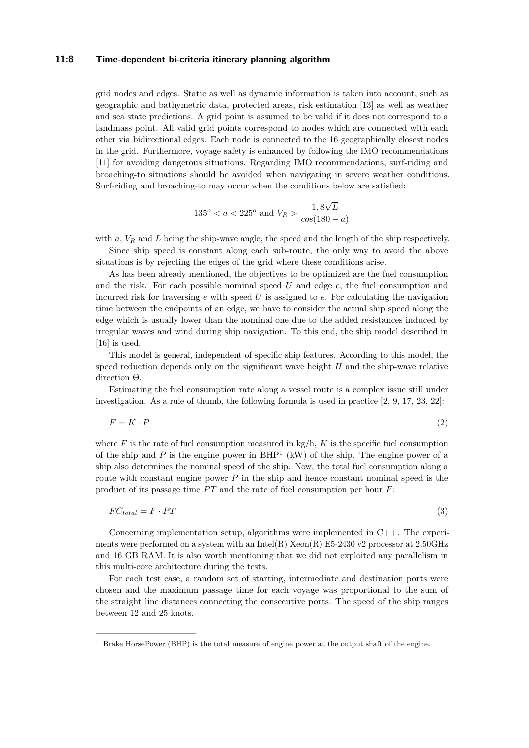## **11:8 Time-dependent bi-criteria itinerary planning algorithm**

grid nodes and edges. Static as well as dynamic information is taken into account, such as geographic and bathymetric data, protected areas, risk estimation [\[13\]](#page-13-11) as well as weather and sea state predictions. A grid point is assumed to be valid if it does not correspond to a landmass point. All valid grid points correspond to nodes which are connected with each other via bidirectional edges. Each node is connected to the 16 geographically closest nodes in the grid. Furthermore, voyage safety is enhanced by following the IMO recommendations [\[11\]](#page-13-12) for avoiding dangerous situations. Regarding IMO recommendations, surf-riding and broaching-to situations should be avoided when navigating in severe weather conditions. Surf-riding and broaching-to may occur when the conditions below are satisfied:

$$
135^o < a < 225^o \text{ and } V_R > \frac{1,8\sqrt{L}}{\cos(180 - a)}
$$

with  $a, V_R$  and  $L$  being the ship-wave angle, the speed and the length of the ship respectively.

Since ship speed is constant along each sub-route, the only way to avoid the above situations is by rejecting the edges of the grid where these conditions arise.

As has been already mentioned, the objectives to be optimized are the fuel consumption and the risk. For each possible nominal speed *U* and edge *e*, the fuel consumption and incurred risk for traversing *e* with speed *U* is assigned to *e*. For calculating the navigation time between the endpoints of an edge, we have to consider the actual ship speed along the edge which is usually lower than the nominal one due to the added resistances induced by irregular waves and wind during ship navigation. To this end, the ship model described in [\[16\]](#page-13-13) is used.

This model is general, independent of specific ship features. According to this model, the speed reduction depends only on the significant wave height *H* and the ship-wave relative direction Θ.

Estimating the fuel consumption rate along a vessel route is a complex issue still under investigation. As a rule of thumb, the following formula is used in practice  $[2, 9, 17, 23, 22]$  $[2, 9, 17, 23, 22]$  $[2, 9, 17, 23, 22]$  $[2, 9, 17, 23, 22]$  $[2, 9, 17, 23, 22]$  $[2, 9, 17, 23, 22]$  $[2, 9, 17, 23, 22]$  $[2, 9, 17, 23, 22]$  $[2, 9, 17, 23, 22]$ :

$$
F = K \cdot P \tag{2}
$$

where  $F$  is the rate of fuel consumption measured in  $kg/h$ ,  $K$  is the specific fuel consumption of the ship and  $P$  is the engine power in  $BHP<sup>1</sup>$  $BHP<sup>1</sup>$  $BHP<sup>1</sup>$  (kW) of the ship. The engine power of a ship also determines the nominal speed of the ship. Now, the total fuel consumption along a route with constant engine power *P* in the ship and hence constant nominal speed is the product of its passage time  $PT$  and the rate of fuel consumption per hour  $F$ :

$$
FC_{total} = F \cdot PT \tag{3}
$$

Concerning implementation setup, algorithms were implemented in C++. The experiments were performed on a system with an Intel(R)  $Xeon(R)$  E5-2430 v2 processor at 2.50GHz and 16 GB RAM. It is also worth mentioning that we did not exploited any parallelism in this multi-core architecture during the tests.

For each test case, a random set of starting, intermediate and destination ports were chosen and the maximum passage time for each voyage was proportional to the sum of the straight line distances connecting the consecutive ports. The speed of the ship ranges between 12 and 25 knots.

<span id="page-7-0"></span><sup>&</sup>lt;sup>1</sup> Brake HorsePower (BHP) is the total measure of engine power at the output shaft of the engine.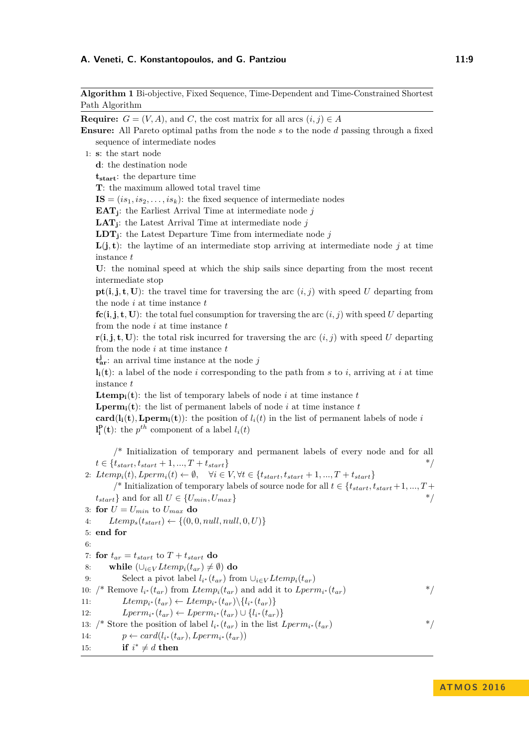## **A. Veneti, C. Konstantopoulos, and G. Pantziou 11:4 11:9 11:9**

<span id="page-8-0"></span>**Algorithm 1** Bi-objective, Fixed Sequence, Time-Dependent and Time-Constrained Shortest Path Algorithm

**Require:**  $G = (V, A)$ , and *C*, the cost matrix for all arcs  $(i, j) \in A$ 

**Ensure:** All Pareto optimal paths from the node *s* to the node *d* passing through a fixed sequence of intermediate nodes

1: **s**: the start node

**d**: the destination node

**tstart**: the departure time

**T**: the maximum allowed total travel time

 $\mathbf{IS} = (is_1, is_2, \ldots, is_k)$ : the fixed sequence of intermediate nodes

**EAT<sup>j</sup>** : the Earliest Arrival Time at intermediate node *j*

**LAT<sup>j</sup>** : the Latest Arrival Time at intermediate node *j*

**LDT<sup>j</sup>** : the Latest Departure Time from intermediate node *j*

 $L(j, t)$ : the laytime of an intermediate stop arriving at intermediate node j at time instance *t*

**U**: the nominal speed at which the ship sails since departing from the most recent intermediate stop

**pt**(**i**,**j**,**t**,**U**): the travel time for traversing the arc  $(i, j)$  with speed *U* departing from the node *i* at time instance *t*

 $f_c(i,j,t,U)$ : the total fuel consumption for traversing the arc  $(i,j)$  with speed U departing from the node *i* at time instance *t*

 $\mathbf{r}(\mathbf{i}, \mathbf{j}, \mathbf{t}, \mathbf{U})$ : the total risk incurred for traversing the arc  $(i, j)$  with speed *U* departing from the node *i* at time instance *t*

 $\mathbf{t}_{\text{ar}}^{\mathbf{j}}$ : an arrival time instance at the node *j* 

 $\mathbf{l}_i(\mathbf{t})$ : a label of the node *i* corresponding to the path from *s* to *i*, arriving at *i* at time instance *t*

**Ltemp**<sub>i</sub>(**t**): the list of temporary labels of node *i* at time instance *t* 

**Lperm**<sub>i</sub>(**t**): the list of permanent labels of node *i* at time instance *t* 

**card**( $\mathbf{l_i(t)}$ ), **Lperm**<sub>i</sub>(**t**)): the position of  $l_i(t)$  in the list of permanent labels of node *i*  $\mathbf{I}_i^{\mathbf{p}}(\mathbf{t})$ : the *p*<sup>th</sup> component of a label  $l_i(t)$ 

/\* Initialization of temporary and permanent labels of every node and for all  $t \in \{t_{start}, t_{start} + 1, ..., T + t_{start}\}$ 

2:  $Itemp_i(t), Lperm_i(t) \leftarrow \emptyset, \quad \forall i \in V, \forall t \in \{t_{start}, t_{start} + 1, ..., T + t_{start}\}$ 

/\* Initialization of temporary labels of source node for all *t* ∈ {*tstart, tstart* + 1*, ..., T* +  $t_{start}$ } and for all  $U \in \{U_{min}, U_{max}\}$  \*/ 3: **for**  $U = U_{min}$  to  $U_{max}$  do 4:  $Ltemp<sub>s</sub>(t<sub>start</sub>) \leftarrow \{(0, 0, null, null, 0, U)\}$ 5: **end for**  $6.$ 

7: **for**  $t_{ar} = t_{start}$  to  $T + t_{start}$  do 8: **while**  $(\bigcup_{i \in V} Ltemp_i(t_{ar}) \neq \emptyset)$  **do** 9: Select a pivot label  $l_{i^*}(t_{ar})$  from  $\cup_{i \in V} Ltemp_i(t_{ar})$ 10: /\* Remove  $l_{i^*}(t_{ar})$  from  $Itemp_i(t_{ar})$  and add it to  $Lperm_{i^*}(t_{ar})$  \*/ 11: *Ltemp<sub>i</sub>*<sup>\*</sup>(*t<sub>ar</sub>*) ← *Ltemp<sub>i</sub>*<sup>\*</sup>(*t<sub>ar</sub>*)  $\{l_i$ <sup>\*</sup>(*t<sub>ar</sub>*)} 12: *Lperm<sub>i</sub>*∗ (*t<sub>ar</sub>*) ← *Lperm<sub>i</sub>*∗ (*t<sub>ar</sub>*) ∪ {*l<sub>i</sub>*∗ (*t<sub>ar</sub>*)} 13: /\* Store the position of label  $l_{i^*}(t_{ar})$  in the list  $Lperm_{i^*}(t_{ar})$  \*/ 14:  $p \leftarrow card(l_{i^*}(t_{ar}), Lperm_{i^*}(t_{ar}))$ 

15: **if**  $i^* \neq d$  **then**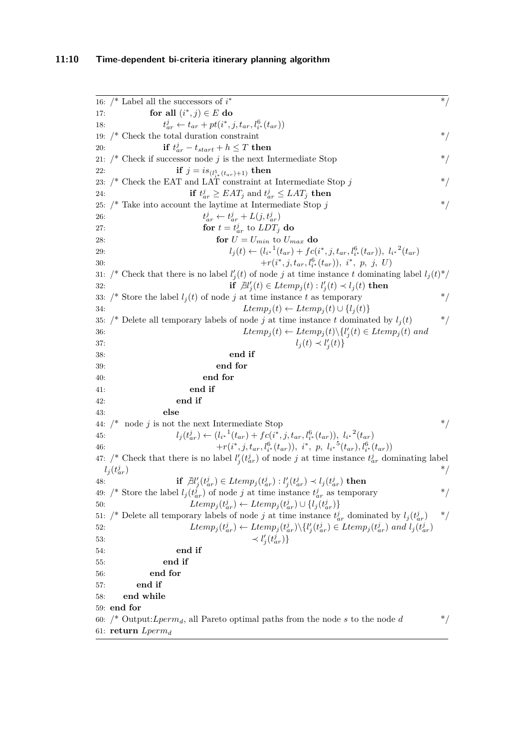```
16: /* Label all the successors of i
                               ∗ */
17: for all (i^*, j) \in E do
18: t
                \frac{d}{dx} \leftarrow t_{ar} + pt(i^*, j, t_{ar}, l_i^6(t_{ar}))19: /* Check the total duration constraint
20: if t_{ar}^j - t_{start} + h \leq T then
21: /* Check if successor node j is the next Intermediate Stop
22: if j = i s_{(l_{i^*}^5(t_{ar})+1)} then
23: \frac{1}{2} Check the EAT and LAT constraint at Intermediate Stop j
24: if t_{ar}^j \geq EAT_j and t_{ar}^j \leq LAT_j then
25: \frac{*}{*} Take into account the laytime at Intermediate Stop j *26: t
                         j_{ar} \leftarrow t_{ar}^j + L(j, t_{ar}^j)27: for t = t_{ar}^j to LDT_j do
28: for U = U_{min} to U_{max} do
29: l_j(t) \leftarrow (l_{i^*}^{1}(t_{ar}) + fc(i^*,j,t_{ar},l_{i^*}^6(t_{ar})), l_{i^*}^{2}(t_{ar})+ r(i(i^*, j, t_{ar}, l^6_{i^*}(t_{ar})), i^*, p, j, U31: /* Check that there is no label l'_j(t) of node j at time instance t dominating label l_j(t)^*/32: if \exists l'_j(t) \in Ltemp_j(t) : l'_j(t) \prec l_j(t) then
33: /* Store the label l_i(t) of node j at time instance t as temporary */
34: Ltemp<sub>i</sub>(t) \leftarrow Ltemp<sub>i</sub>(t) \cup \{l<sub>i</sub>(t)\}\35: /* Delete all temporary labels of node j at time instance t dominated by l_i(t) */
36: Ltemp_j(t) \leftarrow Ltemp_j(t) \setminus \{l'_j(t) \in Ltemp_j(t) \text{ and }37: l_j(t) \prec l'_j(t)38: end if
39: end for
40: end for
41: end if
42: end if
43: else
44: /* node j is not the next Intermediate Stop *45: l_j(t_{ar}^j) \leftarrow (l_{i^*}^1(t_{ar}) + fc(i^*,j,t_{ar},l_{i^*}^6(t_{ar})), l_{i^*}^2(t_{ar})46: +r(i^*, j, t_{ar}, l_i^6*(t_{ar})), i^*, p, l_{i^*}^5(t_{ar}), l_i^6*(t_{ar}))47: /* Check that there is no label l'_{j}(t_{ar}^{j}) of node j at time instance t_{ar}^{j} dominating label
  l_j(t_a^j)\binom{j}{ar} */
48: \qquad \qquad \mathbf{if} \ \mathcal{H}'_j(t_{ar}^j) \in Ltemp_j(t_{ar}^j) : l'_j(t_{ar}^j) \prec l_j(t_{ar}^j) \ \mathbf{then}49: /* Store the label l_j(t_{ar}^j) of node j at time instance t_{ar}^j as temporary */
50: Ltemp_j(t_{ar}^j) \leftarrow Ltemp_j(t_{ar}^j) \cup \{l_j(t_{ar}^j)\}51: /* Delete all temporary labels of node j at time instance t_{ar}^j dominated by l_j(t_{ar}^j) */
52: Ltemp_j(t_{ar}^j) \leftarrow Ltemp_j(t_{ar}^j) \setminus \{l'_j(t_{ar}^j) \in Ltemp_j(t_{ar}^j) \text{ and } l_j(t_{ar}^j) \}53: \prec l
                                       \mathcal{L}'_j(t_{ar}^j)\}54: end if
55: end if
56: end for
57: end if
58: end while
59: end for
60: /* Output:Lperm<sub>d</sub>, all Pareto optimal paths from the node s to the node d */
61: return Lpermd
```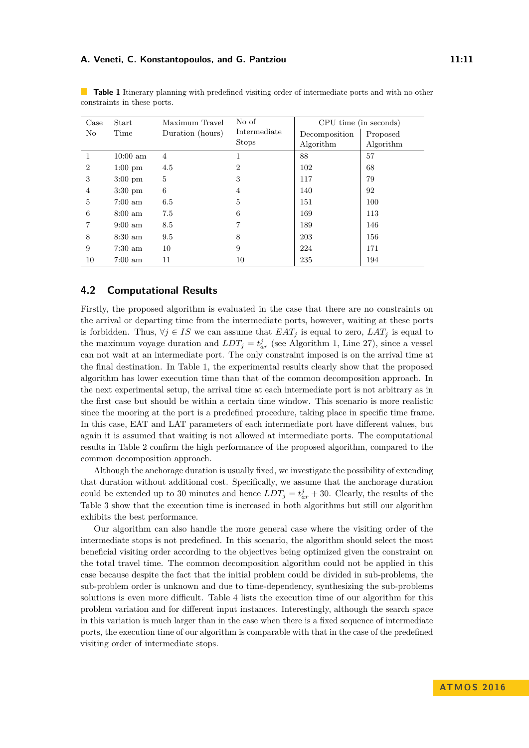## **A. Veneti, C. Konstantopoulos, and G. Pantziou 11:11** 11:11

| Case           | Start              | Maximum Travel   | No of          | CPU time (in seconds) |           |
|----------------|--------------------|------------------|----------------|-----------------------|-----------|
| No             | Time               | Duration (hours) | Intermediate   | Decomposition         | Proposed  |
|                |                    |                  | <b>Stops</b>   | Algorithm             | Algorithm |
|                | $10:00 \text{ am}$ | 4                | 1              | 88                    | 57        |
| $\overline{2}$ | $1:00 \text{ pm}$  | 4.5              | $\overline{2}$ | 102                   | 68        |
| 3              | $3:00 \text{ pm}$  | 5                | 3              | 117                   | 79        |
| $\overline{4}$ | $3:30 \text{ pm}$  | 6                | $\overline{4}$ | 140                   | 92        |
| 5              | $7:00 \text{ am}$  | 6.5              | 5              | 151                   | 100       |
| 6              | $8:00 \text{ am}$  | 7.5              | 6              | 169                   | 113       |
| 7              | $9:00 \text{ am}$  | 8.5              | 7              | 189                   | 146       |
| 8              | $8:30 \text{ am}$  | 9.5              | 8              | 203                   | 156       |
| 9              | $7:30 \text{ am}$  | 10               | 9              | 224                   | 171       |
| 10             | $7:00 \text{ am}$  | 11               | 10             | 235                   | 194       |

<span id="page-10-0"></span>**Table 1** Itinerary planning with predefined visiting order of intermediate ports and with no other constraints in these ports.

# **4.2 Computational Results**

Firstly, the proposed algorithm is evaluated in the case that there are no constraints on the arrival or departing time from the intermediate ports, however, waiting at these ports is forbidden. Thus,  $\forall j \in IS$  we can assume that  $EAT_j$  is equal to zero,  $LAT_j$  is equal to the maximum voyage duration and  $LDT_j = t^j_{ar}$  (see Algorithm [1,](#page-8-0) Line [27\)](#page-8-0), since a vessel can not wait at an intermediate port. The only constraint imposed is on the arrival time at the final destination. In Table [1,](#page-10-0) the experimental results clearly show that the proposed algorithm has lower execution time than that of the common decomposition approach. In the next experimental setup, the arrival time at each intermediate port is not arbitrary as in the first case but should be within a certain time window. This scenario is more realistic since the mooring at the port is a predefined procedure, taking place in specific time frame. In this case, EAT and LAT parameters of each intermediate port have different values, but again it is assumed that waiting is not allowed at intermediate ports. The computational results in Table [2](#page-11-0) confirm the high performance of the proposed algorithm, compared to the common decomposition approach.

Although the anchorage duration is usually fixed, we investigate the possibility of extending that duration without additional cost. Specifically, we assume that the anchorage duration could be extended up to 30 minutes and hence  $LDT_j = t_{ar}^j + 30$ . Clearly, the results of the Table [3](#page-11-1) show that the execution time is increased in both algorithms but still our algorithm exhibits the best performance.

Our algorithm can also handle the more general case where the visiting order of the intermediate stops is not predefined. In this scenario, the algorithm should select the most beneficial visiting order according to the objectives being optimized given the constraint on the total travel time. The common decomposition algorithm could not be applied in this case because despite the fact that the initial problem could be divided in sub-problems, the sub-problem order is unknown and due to time-dependency, synthesizing the sub-problems solutions is even more difficult. Table [4](#page-12-7) lists the execution time of our algorithm for this problem variation and for different input instances. Interestingly, although the search space in this variation is much larger than in the case when there is a fixed sequence of intermediate ports, the execution time of our algorithm is comparable with that in the case of the predefined visiting order of intermediate stops.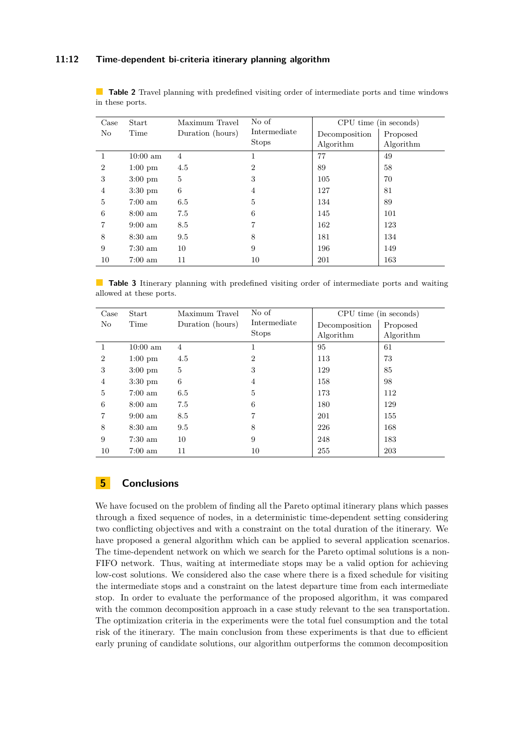## **11:12 Time-dependent bi-criteria itinerary planning algorithm**

<span id="page-11-0"></span>**Table 2** Travel planning with predefined visiting order of intermediate ports and time windows in these ports.

| Case           | Start              | Maximum Travel   | No of          | CPU time (in seconds) |           |
|----------------|--------------------|------------------|----------------|-----------------------|-----------|
| No             | Time               | Duration (hours) | Intermediate   | Decomposition         | Proposed  |
|                |                    |                  | <b>Stops</b>   | Algorithm             | Algorithm |
| 1              | $10:00 \text{ am}$ | 4                | 1              | 77                    | 49        |
| $\overline{2}$ | $1:00 \text{ pm}$  | 4.5              | $\overline{2}$ | 89                    | 58        |
| 3              | $3:00 \text{ pm}$  | 5                | 3              | 105                   | 70        |
| 4              | $3:30 \text{ pm}$  | 6                | 4              | 127                   | 81        |
| 5              | $7:00 \text{ am}$  | 6.5              | 5              | 134                   | 89        |
| 6              | $8:00 \text{ am}$  | 7.5              | 6              | 145                   | 101       |
| 7              | $9:00 \text{ am}$  | 8.5              | 7              | 162                   | 123       |
| 8              | $8:30 \text{ am}$  | 9.5              | 8              | 181                   | 134       |
| 9              | $7:30 \text{ am}$  | 10               | 9              | 196                   | 149       |
| 10             | $7:00 \text{ am}$  | 11               | 10             | 201                   | 163       |

<span id="page-11-1"></span>**Table 3** Itinerary planning with predefined visiting order of intermediate ports and waiting allowed at these ports.

| Case           | Start              | Maximum Travel   | No of          | CPU time (in seconds) |           |
|----------------|--------------------|------------------|----------------|-----------------------|-----------|
| No             | Time               | Duration (hours) | Intermediate   | Decomposition         | Proposed  |
|                |                    |                  | <b>Stops</b>   | Algorithm             | Algorithm |
| 1              | $10:00 \text{ am}$ | 4                |                | 95                    | 61        |
| $\overline{2}$ | $1:00 \text{ pm}$  | 4.5              | $\overline{2}$ | 113                   | 73        |
| 3              | $3:00 \text{ pm}$  | 5                | 3              | 129                   | 85        |
| 4              | $3:30 \text{ pm}$  | 6                | 4              | 158                   | 98        |
| 5              | $7:00 \text{ am}$  | 6.5              | 5              | 173                   | 112       |
| 6              | $8:00 \text{ am}$  | 7.5              | 6              | 180                   | 129       |
| 7              | $9:00 \text{ am}$  | 8.5              | 7              | 201                   | 155       |
| 8              | $8:30 \text{ am}$  | 9.5              | 8              | 226                   | 168       |
| 9              | $7:30 \text{ am}$  | 10               | 9              | 248                   | 183       |
| 10             | $7:00 \text{ am}$  | 11               | 10             | 255                   | 203       |

# **5 Conclusions**

We have focused on the problem of finding all the Pareto optimal itinerary plans which passes through a fixed sequence of nodes, in a deterministic time-dependent setting considering two conflicting objectives and with a constraint on the total duration of the itinerary. We have proposed a general algorithm which can be applied to several application scenarios. The time-dependent network on which we search for the Pareto optimal solutions is a non-FIFO network. Thus, waiting at intermediate stops may be a valid option for achieving low-cost solutions. We considered also the case where there is a fixed schedule for visiting the intermediate stops and a constraint on the latest departure time from each intermediate stop. In order to evaluate the performance of the proposed algorithm, it was compared with the common decomposition approach in a case study relevant to the sea transportation. The optimization criteria in the experiments were the total fuel consumption and the total risk of the itinerary. The main conclusion from these experiments is that due to efficient early pruning of candidate solutions, our algorithm outperforms the common decomposition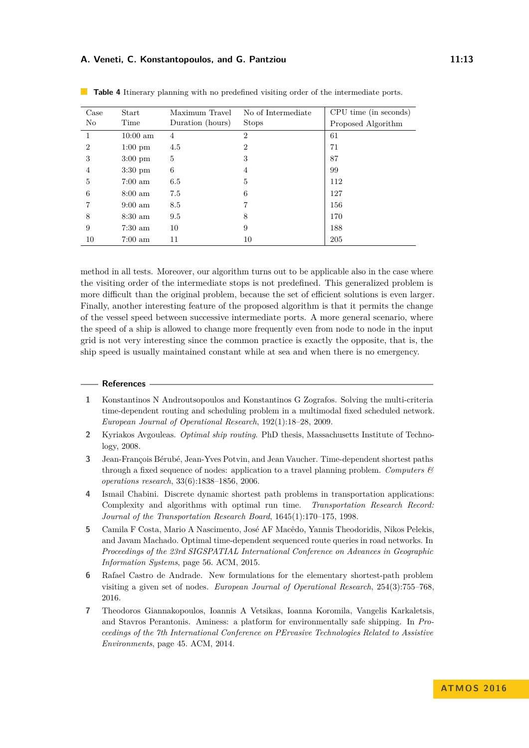## **A. Veneti, C. Konstantopoulos, and G. Pantziou 11:13**

| Case           | Start              | Maximum Travel   | No of Intermediate | CPU time (in seconds) |
|----------------|--------------------|------------------|--------------------|-----------------------|
| No             | Time               | Duration (hours) | <b>Stops</b>       | Proposed Algorithm    |
| 1              | $10:00 \text{ am}$ | 4                | $\overline{2}$     | 61                    |
| $\overline{2}$ | $1:00 \text{ pm}$  | 4.5              | $\overline{2}$     | 71                    |
| 3              | $3:00 \text{ pm}$  | 5                | 3                  | 87                    |
| 4              | $3:30 \text{ pm}$  | 6                | $\overline{4}$     | 99                    |
| 5              | $7:00 \text{ am}$  | 6.5              | 5                  | 112                   |
| 6              | $8:00 \text{ am}$  | 7.5              | 6                  | 127                   |
|                | $9:00 \text{ am}$  | 8.5              | 7                  | 156                   |
| 8              | $8:30 \text{ am}$  | 9.5              | 8                  | 170                   |
| 9              | $7:30 \text{ am}$  | 10               | 9                  | 188                   |
| 10             | $7:00 \text{ am}$  | 11               | 10                 | 205                   |

<span id="page-12-7"></span>**Table 4** Itinerary planning with no predefined visiting order of the intermediate ports.

method in all tests. Moreover, our algorithm turns out to be applicable also in the case where the visiting order of the intermediate stops is not predefined. This generalized problem is more difficult than the original problem, because the set of efficient solutions is even larger. Finally, another interesting feature of the proposed algorithm is that it permits the change of the vessel speed between successive intermediate ports. A more general scenario, where the speed of a ship is allowed to change more frequently even from node to node in the input grid is not very interesting since the common practice is exactly the opposite, that is, the ship speed is usually maintained constant while at sea and when there is no emergency.

#### **References**

- <span id="page-12-1"></span>**1** Konstantinos N Androutsopoulos and Konstantinos G Zografos. Solving the multi-criteria time-dependent routing and scheduling problem in a multimodal fixed scheduled network. *European Journal of Operational Research*, 192(1):18–28, 2009.
- <span id="page-12-6"></span>**2** Kyriakos Avgouleas. *Optimal ship routing*. PhD thesis, Massachusetts Institute of Technology, 2008.
- <span id="page-12-2"></span>**3** Jean-François Bérubé, Jean-Yves Potvin, and Jean Vaucher. Time-dependent shortest paths through a fixed sequence of nodes: application to a travel planning problem. *Computers & operations research*, 33(6):1838–1856, 2006.
- <span id="page-12-0"></span>**4** Ismail Chabini. Discrete dynamic shortest path problems in transportation applications: Complexity and algorithms with optimal run time. *Transportation Research Record: Journal of the Transportation Research Board*, 1645(1):170–175, 1998.
- <span id="page-12-3"></span>**5** Camila F Costa, Mario A Nascimento, José AF Macêdo, Yannis Theodoridis, Nikos Pelekis, and Javam Machado. Optimal time-dependent sequenced route queries in road networks. In *Proceedings of the 23rd SIGSPATIAL International Conference on Advances in Geographic Information Systems*, page 56. ACM, 2015.
- <span id="page-12-4"></span>**6** Rafael Castro de Andrade. New formulations for the elementary shortest-path problem visiting a given set of nodes. *European Journal of Operational Research*, 254(3):755–768, 2016.
- <span id="page-12-5"></span>**7** Theodoros Giannakopoulos, Ioannis A Vetsikas, Ioanna Koromila, Vangelis Karkaletsis, and Stavros Perantonis. Aminess: a platform for environmentally safe shipping. In *Proceedings of the 7th International Conference on PErvasive Technologies Related to Assistive Environments*, page 45. ACM, 2014.